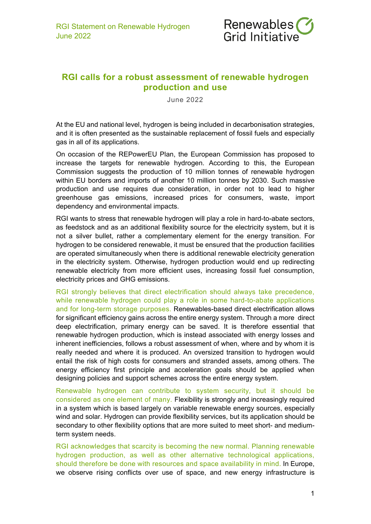

## **RGI calls for a robust assessment of renewable hydrogen production and use**

June 2022

At the EU and national level, hydrogen is being included in decarbonisation strategies, and it is often presented as the sustainable replacement of fossil fuels and especially gas in all of its applications.

On occasion of the REPowerEU Plan, the European Commission has proposed to increase the targets for renewable hydrogen. According to this, the European Commission suggests the production of 10 million tonnes of renewable hydrogen within EU borders and imports of another 10 million tonnes by 2030. Such massive production and use requires due consideration, in order not to lead to higher greenhouse gas emissions, increased prices for consumers, waste, import dependency and environmental impacts.

RGI wants to stress that renewable hydrogen will play a role in hard-to-abate sectors, as feedstock and as an additional flexibility source for the electricity system, but it is not a silver bullet, rather a complementary element for the energy transition. For hydrogen to be considered renewable, it must be ensured that the production facilities are operated simultaneously when there is additional renewable electricity generation in the electricity system. Otherwise, hydrogen production would end up redirecting renewable electricity from more efficient uses, increasing fossil fuel consumption, electricity prices and GHG emissions.

RGI strongly believes that direct electrification should always take precedence, while renewable hydrogen could play a role in some hard-to-abate applications and for long-term storage purposes. Renewables-based direct electrification allows for significant efficiency gains across the entire energy system. Through a more direct deep electrification, primary energy can be saved. It is therefore essential that renewable hydrogen production, which is instead associated with energy losses and inherent inefficiencies, follows a robust assessment of when, where and by whom it is really needed and where it is produced. An oversized transition to hydrogen would entail the risk of high costs for consumers and stranded assets, among others. The energy efficiency first principle and acceleration goals should be applied when designing policies and support schemes across the entire energy system.

Renewable hydrogen can contribute to system security, but it should be considered as one element of many. Flexibility is strongly and increasingly required in a system which is based largely on variable renewable energy sources, especially wind and solar. Hydrogen can provide flexibility services, but its application should be secondary to other flexibility options that are more suited to meet short- and mediumterm system needs.

RGI acknowledges that scarcity is becoming the new normal. Planning renewable hydrogen production, as well as other alternative technological applications, should therefore be done with resources and space availability in mind. In Europe, we observe rising conflicts over use of space, and new energy infrastructure is